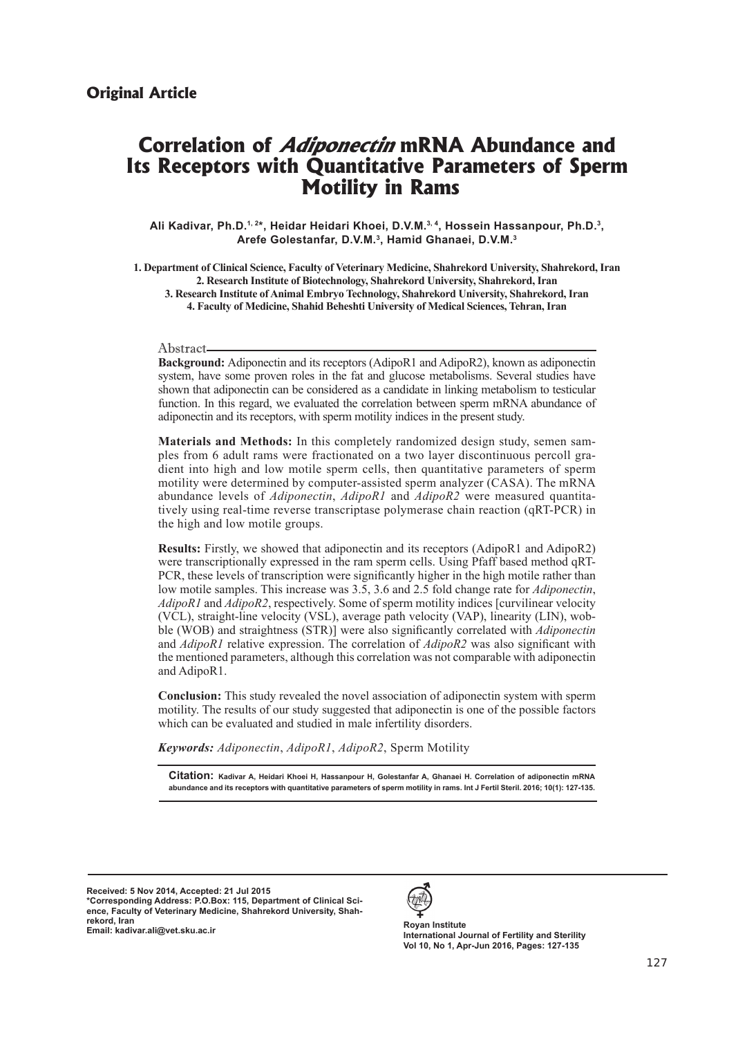# **Correlation of Adiponectin mRNA Abundance and Its Receptors with Quantitative Parameters of Sperm Motility in Rams**

Ali Kadivar, Ph.D.<sup>1, 2\*</sup>, Heidar Heidari Khoei, D.V.M.<sup>3, 4</sup>, Hossein Hassanpour, Ph.D.<sup>3</sup>, **Arefe Golestanfar, D.V.M.3, Hamid Ghanaei, D.V.M.3**

**1. Department of Clinical Science, Faculty of Veterinary Medicine, Shahrekord University, Shahrekord, Iran 2. Research Institute of Biotechnology, Shahrekord University, Shahrekord, Iran 3. Research Institute of Animal Embryo Technology, Shahrekord University, Shahrekord, Iran 4. Faculty of Medicine, Shahid Beheshti University of Medical Sciences, Tehran, Iran**

#### Abstract

**Background:** Adiponectin and its receptors (AdipoR1 and AdipoR2), known as adiponectin system, have some proven roles in the fat and glucose metabolisms. Several studies have shown that adiponectin can be considered as a candidate in linking metabolism to testicular function. In this regard, we evaluated the correlation between sperm mRNA abundance of adiponectin and its receptors, with sperm motility indices in the present study.

**Materials and Methods:** In this completely randomized design study, semen samples from 6 adult rams were fractionated on a two layer discontinuous percoll gradient into high and low motile sperm cells, then quantitative parameters of sperm motility were determined by computer-assisted sperm analyzer (CASA). The mRNA abundance levels of *Adiponectin*, *AdipoR1* and *AdipoR2* were measured quantitatively using real-time reverse transcriptase polymerase chain reaction (qRT-PCR) in the high and low motile groups.

**Results:** Firstly, we showed that adiponectin and its receptors (AdipoR1 and AdipoR2) were transcriptionally expressed in the ram sperm cells. Using Pfaff based method qRT-PCR, these levels of transcription were significantly higher in the high motile rather than low motile samples. This increase was 3.5, 3.6 and 2.5 fold change rate for *Adiponectin*, *AdipoR1* and *AdipoR2*, respectively. Some of sperm motility indices [curvilinear velocity (VCL), straight-line velocity (VSL), average path velocity (VAP), linearity (LIN), wobble (WOB) and straightness (STR)] were also significantly correlated with *Adiponectin* and *AdipoR1* relative expression. The correlation of *AdipoR2* was also significant with the mentioned parameters, although this correlation was not comparable with adiponectin and AdipoR1.

**Conclusion:** This study revealed the novel association of adiponectin system with sperm motility. The results of our study suggested that adiponectin is one of the possible factors which can be evaluated and studied in male infertility disorders.

*Keywords: Adiponectin*, *AdipoR1*, *AdipoR2*, Sperm Motility

**Citation: Kadivar A, Heidari Khoei H, Hassanpour H, Golestanfar A, Ghanaei H. Correlation of adiponectin mRNA abundance and its receptors with quantitative parameters of sperm motility in rams. Int J Fertil Steril. 2016; 10(1): 127-135.**

**Received: 5 Nov 2014, Accepted: 21 Jul 2015 \*Corresponding Address: P.O.Box: 115, Department of Clinical Science, Faculty of Veterinary Medicine, Shahrekord University, Shahrekord, Iran Email: kadivar.ali@vet.sku.ac.ir Royan Institute**



**International Journal of Fertility and Sterility Vol 10, No 1, Apr-Jun 2016, Pages: 127-135**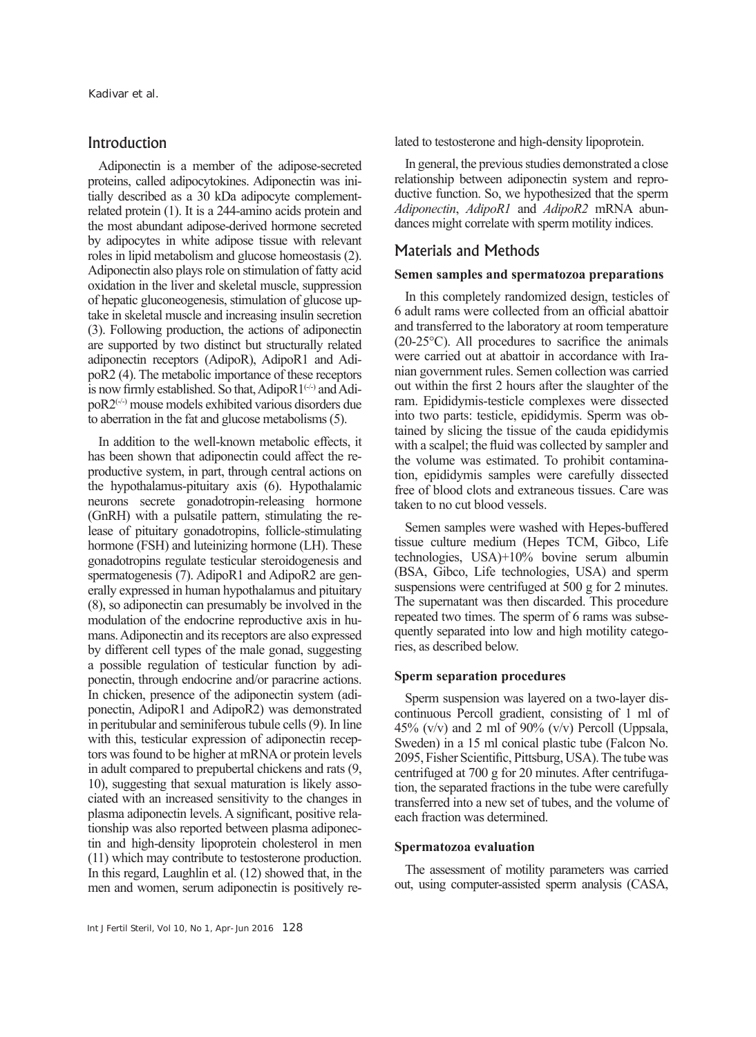# Introduction

Adiponectin is a member of the adipose-secreted proteins, called adipocytokines. Adiponectin was initially described as a 30 kDa adipocyte complementrelated protein (1). It is a 244-amino acids protein and the most abundant adipose-derived hormone secreted by adipocytes in white adipose tissue with relevant roles in lipid metabolism and glucose homeostasis (2). Adiponectin also plays role on stimulation of fatty acid oxidation in the liver and skeletal muscle, suppression of hepatic gluconeogenesis, stimulation of glucose uptake in skeletal muscle and increasing insulin secretion (3). Following production, the actions of adiponectin are supported by two distinct but structurally related adiponectin receptors (AdipoR), AdipoR1 and AdipoR2 (4). The metabolic importance of these receptors is now firmly established. So that,  $AdipoR1^{(+)}$  and  $Adi$  $poR2$ <sup> $(+)$ </sup> mouse models exhibited various disorders due to aberration in the fat and glucose metabolisms (5).

In addition to the well-known metabolic effects, it has been shown that adiponectin could affect the reproductive system, in part, through central actions on the hypothalamus-pituitary axis (6). Hypothalamic neurons secrete gonadotropin-releasing hormone (GnRH) with a pulsatile pattern, stimulating the release of pituitary gonadotropins, follicle-stimulating hormone (FSH) and luteinizing hormone (LH). These gonadotropins regulate testicular steroidogenesis and spermatogenesis (7). AdipoR1 and AdipoR2 are generally expressed in human hypothalamus and pituitary (8), so adiponectin can presumably be involved in the modulation of the endocrine reproductive axis in humans. Adiponectin and its receptors are also expressed by different cell types of the male gonad, suggesting a possible regulation of testicular function by adiponectin, through endocrine and/or paracrine actions. In chicken, presence of the adiponectin system (adiponectin, AdipoR1 and AdipoR2) was demonstrated in peritubular and seminiferous tubule cells (9). In line with this, testicular expression of adiponectin receptors was found to be higher at mRNA or protein levels in adult compared to prepubertal chickens and rats (9, 10), suggesting that sexual maturation is likely associated with an increased sensitivity to the changes in plasma adiponectin levels. A significant, positive relationship was also reported between plasma adiponectin and high-density lipoprotein cholesterol in men (11) which may contribute to testosterone production. In this regard, Laughlin et al. (12) showed that, in the men and women, serum adiponectin is positively related to testosterone and high-density lipoprotein.

In general, the previous studies demonstrated a close relationship between adiponectin system and reproductive function. So, we hypothesized that the sperm *Adiponectin*, *AdipoR1* and *AdipoR2* mRNA abundances might correlate with sperm motility indices.

## Materials and Methods

#### **Semen samples and spermatozoa preparations**

In this completely randomized design, testicles of 6 adult rams were collected from an official abattoir and transferred to the laboratory at room temperature (20-25°C). All procedures to sacrifice the animals were carried out at abattoir in accordance with Iranian government rules. Semen collection was carried out within the first 2 hours after the slaughter of the ram. Epididymis-testicle complexes were dissected into two parts: testicle, epididymis. Sperm was obtained by slicing the tissue of the cauda epididymis with a scalpel; the fluid was collected by sampler and the volume was estimated. To prohibit contamination, epididymis samples were carefully dissected free of blood clots and extraneous tissues. Care was taken to no cut blood vessels.

Semen samples were washed with Hepes-buffered tissue culture medium (Hepes TCM, Gibco, Life technologies, USA)+10% bovine serum albumin (BSA, Gibco, Life technologies, USA) and sperm suspensions were centrifuged at 500 g for 2 minutes. The supernatant was then discarded. This procedure repeated two times. The sperm of 6 rams was subsequently separated into low and high motility categories, as described below.

#### **Sperm separation procedures**

Sperm suspension was layered on a two-layer discontinuous Percoll gradient, consisting of 1 ml of 45% (v/v) and 2 ml of 90% (v/v) Percoll (Uppsala, Sweden) in a 15 ml conical plastic tube (Falcon No. 2095, Fisher Scientific, Pittsburg, USA). The tube was centrifuged at 700 g for 20 minutes. After centrifugation, the separated fractions in the tube were carefully transferred into a new set of tubes, and the volume of each fraction was determined.

#### **Spermatozoa evaluation**

The assessment of motility parameters was carried out, using computer-assisted sperm analysis (CASA,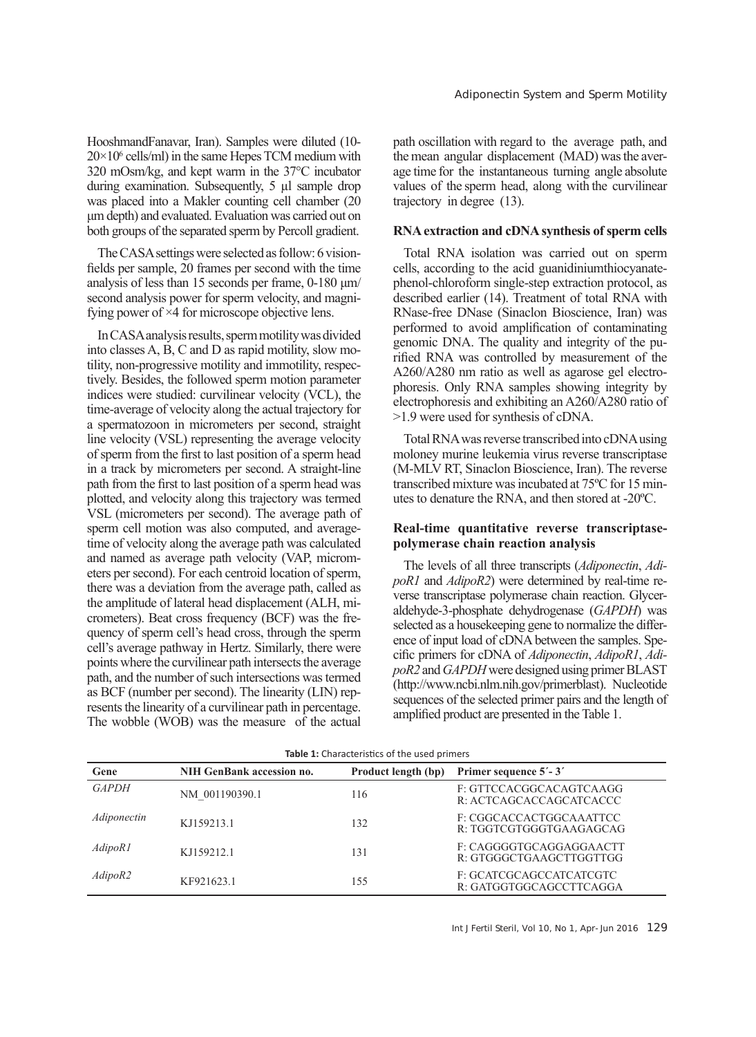HooshmandFanavar, Iran). Samples were diluted (10-  $20 \times 10^6$  cells/ml) in the same Hepes TCM medium with 320 mOsm/kg, and kept warm in the 37°C incubator during examination. Subsequently, 5 µl sample drop was placed into a Makler counting cell chamber (20 μm depth) and evaluated. Evaluation was carried out on both groups of the separated sperm by Percoll gradient.

The CASA settings were selected as follow: 6 visionfields per sample, 20 frames per second with the time analysis of less than 15 seconds per frame, 0-180 μm/ second analysis power for sperm velocity, and magnifying power of  $\times$ 4 for microscope objective lens.

In CASA analysis results, sperm motility was divided into classes A, B, C and D as rapid motility, slow motility, non-progressive motility and immotility, respectively. Besides, the followed sperm motion parameter indices were studied: curvilinear velocity (VCL), the time-average of velocity along the actual trajectory for a spermatozoon in micrometers per second, straight line velocity (VSL) representing the average velocity of sperm from the first to last position of a sperm head in a track by micrometers per second. A straight-line path from the first to last position of a sperm head was plotted, and velocity along this trajectory was termed VSL (micrometers per second). The average path of sperm cell motion was also computed, and averagetime of velocity along the average path was calculated and named as average path velocity (VAP, micrometers per second). For each centroid location of sperm, there was a deviation from the average path, called as the amplitude of lateral head displacement (ALH, micrometers). Beat cross frequency (BCF) was the frequency of sperm cell's head cross, through the sperm cell's average pathway in Hertz. Similarly, there were points where the curvilinear path intersects the average path, and the number of such intersections was termed as BCF (number per second). The linearity (LIN) represents the linearity of a curvilinear path in percentage. The wobble (WOB) was the measure of the actual

path oscillation with regard to the average path, and the mean angular displacement (MAD) was the average time for the instantaneous turning angle absolute values of the sperm head, along with the curvilinear trajectory in degree (13).

#### **RNA extraction and cDNA synthesis of sperm cells**

Total RNA isolation was carried out on sperm cells, according to the acid guanidiniumthiocyanatephenol-chloroform single-step extraction protocol, as described earlier (14). Treatment of total RNA with RNase-free DNase (Sinaclon Bioscience, Iran) was performed to avoid amplification of contaminating genomic DNA. The quality and integrity of the purified RNA was controlled by measurement of the A260/A280 nm ratio as well as agarose gel electrophoresis. Only RNA samples showing integrity by electrophoresis and exhibiting an A260/A280 ratio of >1.9 were used for synthesis of cDNA.

Total RNA was reverse transcribed into cDNA using moloney murine leukemia virus reverse transcriptase (M-MLV RT, Sinaclon Bioscience, Iran). The reverse transcribed mixture was incubated at 75ºC for 15 minutes to denature the RNA, and then stored at -20ºC.

#### **Real-time quantitative reverse transcriptasepolymerase chain reaction analysis**

The levels of all three transcripts (*Adiponectin*, *AdipoR1* and *AdipoR2*) were determined by real-time reverse transcriptase polymerase chain reaction. Glyceraldehyde-3-phosphate dehydrogenase (*GAPDH*) was selected as a housekeeping gene to normalize the difference of input load of cDNA between the samples. Specific primers for cDNA of *Adiponectin*, *AdipoR1*, *AdipoR2* and *GAPDH* were designed using primer BLAST (http://www.ncbi.nlm.nih.gov/primerblast). Nucleotide sequences of the selected primer pairs and the length of amplified product are presented in the Table 1.

| <b>Table 1:</b> Characteristics of the used primers |                                  |                     |                                                    |  |  |  |  |  |  |
|-----------------------------------------------------|----------------------------------|---------------------|----------------------------------------------------|--|--|--|--|--|--|
| Gene                                                | <b>NIH GenBank accession no.</b> | Product length (bp) | Primer sequence 5'-3'                              |  |  |  |  |  |  |
| <b>GAPDH</b>                                        | NM 001190390.1                   | 116                 | F: GTTCCACGGCACAGTCAAGG<br>R: ACTCAGCACCAGCATCACCC |  |  |  |  |  |  |
| Adiponectin                                         | KJ159213.1                       | 132                 | F: CGGCACCACTGGCAAATTCC<br>R: TGGTCGTGGGTGAAGAGCAG |  |  |  |  |  |  |
| AdipoR1                                             | KJ159212.1                       | 131                 | F: CAGGGGTGCAGGAGGAACTT<br>R: GTGGGCTGAAGCTTGGTTGG |  |  |  |  |  |  |
| AdipoR2                                             | KF921623.1                       | 155                 | F: GCATCGCAGCCATCATCGTC<br>R: GATGGTGGCAGCCTTCAGGA |  |  |  |  |  |  |

**Table 1:** Characteristics of the used primers

Int J Fertil Steril, Vol 10, No 1, Apr-Jun 2016 129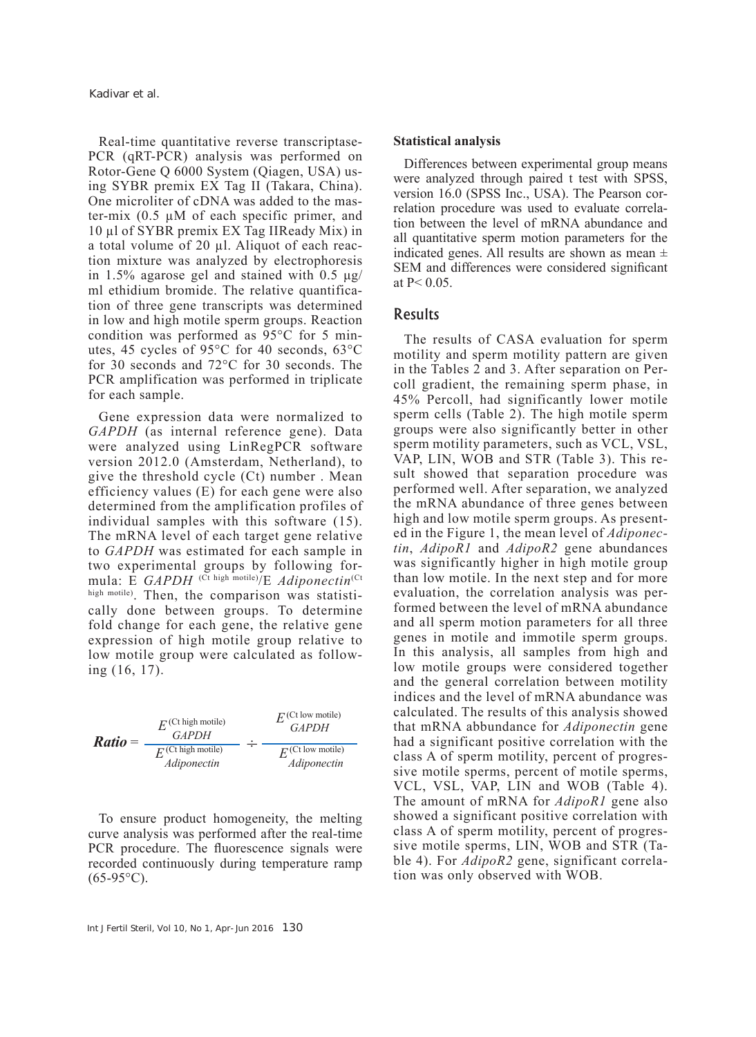Real-time quantitative reverse transcriptase-PCR (qRT-PCR) analysis was performed on Rotor-Gene Q 6000 System (Qiagen, USA) using SYBR premix EX Tag ІІ (Takara, China). One microliter of cDNA was added to the master-mix  $(0.5 \mu M)$  of each specific primer, and 10 µl of SYBR premix EX Tag ІІReady Mix) in a total volume of 20 µl. Aliquot of each reaction mixture was analyzed by electrophoresis in 1.5% agarose gel and stained with  $0.5 \mu g$ / ml ethidium bromide. The relative quantification of three gene transcripts was determined in low and high motile sperm groups. Reaction condition was performed as 95°C for 5 minutes, 45 cycles of 95°C for 40 seconds, 63°C for 30 seconds and 72°C for 30 seconds. The PCR amplification was performed in triplicate for each sample.

Gene expression data were normalized to *GAPDH* (as internal reference gene). Data were analyzed using LinRegPCR software version 2012.0 (Amsterdam, Netherland), to give the threshold cycle (Ct) number . Mean efficiency values (E) for each gene were also determined from the amplification profiles of individual samples with this software (15). The mRNA level of each target gene relative to *GAPDH* was estimated for each sample in two experimental groups by following formula: E *GAPDH* (Ct high motile)/E *Adiponectin*(Ct high motile). Then, the comparison was statistically done between groups. To determine fold change for each gene, the relative gene expression of high motile group relative to low motile group were calculated as following (16, 17).



To ensure product homogeneity, the melting curve analysis was performed after the real-time PCR procedure. The fluorescence signals were recorded continuously during temperature ramp  $(65-95°C)$ .

#### **Statistical analysis**

Differences between experimental group means were analyzed through paired t test with SPSS, version 16.0 (SPSS Inc., USA). The Pearson correlation procedure was used to evaluate correlation between the level of mRNA abundance and all quantitative sperm motion parameters for the indicated genes. All results are shown as mean  $\pm$ SEM and differences were considered significant at  $P < 0.05$ .

## Results

The results of CASA evaluation for sperm motility and sperm motility pattern are given in the Tables 2 and 3. After separation on Percoll gradient, the remaining sperm phase, in 45% Percoll, had significantly lower motile sperm cells (Table 2). The high motile sperm groups were also significantly better in other sperm motility parameters, such as VCL, VSL, VAP, LIN, WOB and STR (Table 3). This result showed that separation procedure was performed well. After separation, we analyzed the mRNA abundance of three genes between high and low motile sperm groups. As presented in the Figure 1, the mean level of *Adiponectin*, *AdipoR1* and *AdipoR2* gene abundances was significantly higher in high motile group than low motile. In the next step and for more evaluation, the correlation analysis was performed between the level of mRNA abundance and all sperm motion parameters for all three genes in motile and immotile sperm groups. In this analysis, all samples from high and low motile groups were considered together and the general correlation between motility indices and the level of mRNA abundance was calculated. The results of this analysis showed that mRNA abbundance for *Adiponectin* gene had a significant positive correlation with the class A of sperm motility, percent of progressive motile sperms, percent of motile sperms, VCL, VSL, VAP, LIN and WOB (Table 4). The amount of mRNA for *AdipoR1* gene also showed a significant positive correlation with class A of sperm motility, percent of progressive motile sperms, LIN, WOB and STR (Table 4). For *AdipoR2* gene, significant correlation was only observed with WOB.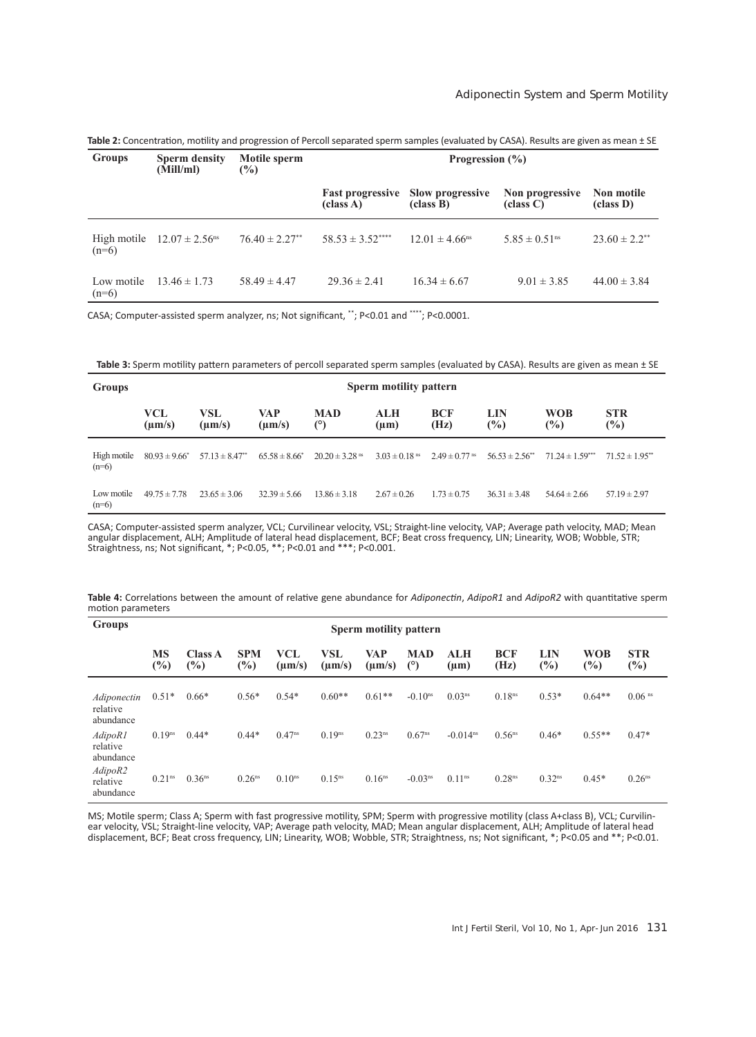| Groups                | <b>Sperm density</b><br>(Mill/ml)          | Motile sperm<br>$\frac{6}{2}$  | Progression $(\% )$ |                                                      |                               |                               |  |  |
|-----------------------|--------------------------------------------|--------------------------------|---------------------|------------------------------------------------------|-------------------------------|-------------------------------|--|--|
|                       |                                            |                                | (class A)           | <b>Fast progressive</b> Slow progressive<br>class B) | Non progressive<br>class C    | Non motile<br>class D)        |  |  |
| $(n=6)$               | High motile $12.07 \pm 2.56$ <sup>ns</sup> | $76.40 \pm 2.27$ <sup>**</sup> | $58.53 \pm 3.52***$ | $12.01 \pm 4.66$ <sup>ns</sup>                       | $5.85 \pm 0.51$ <sup>ns</sup> | $23.60 \pm 2.2$ <sup>**</sup> |  |  |
| Low motile<br>$(n=6)$ | $13.46 \pm 1.73$                           | $58.49 \pm 4.47$               | $29.36 \pm 2.41$    | $16.34 \pm 6.67$                                     | $9.01 \pm 3.85$               | $44.00 \pm 3.84$              |  |  |

**Table 2:** Concentration, motility and progression of Percoll separated sperm samples (evaluated by CASA). Results are given as mean ± SE

CASA; Computer-assisted sperm analyzer, ns; Not significant, \*\*; P<0.01 and \*\*\*\*; P<0.0001.

**Table 3:** Sperm motility pattern parameters of percoll separated sperm samples (evaluated by CASA). Results are given as mean ± SE

| <b>Groups</b>          | Sperm motility pattern |                                |                          |                                |                               |                               |                                |                      |                                |
|------------------------|------------------------|--------------------------------|--------------------------|--------------------------------|-------------------------------|-------------------------------|--------------------------------|----------------------|--------------------------------|
|                        | VCL<br>$\mu$ m/s)      | VSL<br>$(\mu m/s)$             | <b>VAP</b><br>$\mu$ m/s) | <b>MAD</b><br>$(^\circ)$       | ALH<br>(µm)                   | <b>BCF</b><br>(Hz)            | LIN<br>$\frac{6}{2}$           | <b>WOB</b><br>$(\%)$ | <b>STR</b><br>$(\%)$           |
| High motile<br>$(n=6)$ | $80.93 \pm 9.66^*$     | $57.13 \pm 8.47$ <sup>**</sup> | $65.58 \pm 8.66^*$       | $20.20 \pm 3.28$ <sup>ns</sup> | $3.03 \pm 0.18$ <sup>ms</sup> | $2.49 \pm 0.77$ <sup>ns</sup> | $56.53 \pm 2.56$ <sup>**</sup> | $71.24 \pm 1.59$ *** | $71.52 \pm 1.95$ <sup>**</sup> |
| Low motile<br>$(n=6)$  | $49.75 \pm 7.78$       | $23.65 \pm 3.06$               | $32.39 \pm 5.66$         | $13.86 \pm 3.18$               | $2.67 \pm 0.26$               | $1.73 \pm 0.75$               | $36.31 \pm 3.48$               | $54.64 \pm 2.66$     | $57.19 \pm 2.97$               |

CASA; Computer-assisted sperm analyzer, VCL; Curvilinear velocity, VSL; Straight-line velocity, VAP; Average path velocity, MAD; Mean angular displacement, ALH; Amplitude of lateral head displacement, BCF; Beat cross frequency, LIN; Linearity, WOB; Wobble, STR; Straightness, ns; Not significant, \*; P<0.05, \*\*; P<0.01 and \*\*\*; P<0.001.

| Table 4: Correlations between the amount of relative gene abundance for Adiponectin, AdipoR1 and AdipoR2 with quantitative sperm |  |  |  |
|----------------------------------------------------------------------------------------------------------------------------------|--|--|--|
| motion parameters                                                                                                                |  |  |  |

| <b>Groups</b>                        | Sperm motility pattern |                                 |                      |                    |                    |                    |                       |                        |                    |                                    |                      |                      |
|--------------------------------------|------------------------|---------------------------------|----------------------|--------------------|--------------------|--------------------|-----------------------|------------------------|--------------------|------------------------------------|----------------------|----------------------|
|                                      | MS<br>$\frac{1}{2}$    | <b>Class A</b><br>$\frac{6}{2}$ | <b>SPM</b><br>$(\%)$ | VCL<br>$(\mu m/s)$ | VSL<br>$(\mu m/s)$ | VAP<br>$(\mu m/s)$ | <b>MAD</b><br>(°)     | ALH<br>$(\mu m)$       | <b>BCF</b><br>(Hz) | LIN<br>$\left( \frac{9}{6}\right)$ | <b>WOB</b><br>$(\%)$ | <b>STR</b><br>$(\%)$ |
| Adiponectin<br>relative<br>abundance | $0.51*$                | $0.66*$                         | $0.56*$              | $0.54*$            | $0.60**$           | $0.61**$           | $-0.10$ <sup>ns</sup> | $0.03^{ns}$            | 0.18 <sup>ns</sup> | $0.53*$                            | $0.64**$             | $0.06$ <sup>ns</sup> |
| AdipoR1<br>relative<br>abundance     | $0.19^{ns}$            | $0.44*$                         | $0.44*$              | $0.47^{ns}$        | 0.19 <sup>ns</sup> | $0.23^{ns}$        | $0.67^{ns}$           | $-0.014$ <sup>ns</sup> | 0.56 <sup>ns</sup> | $0.46*$                            | $0.55**$             | $0.47*$              |
| AdipoR2<br>relative<br>abundance     | 0.21 <sup>ns</sup>     | 0.36 <sup>ns</sup>              | 0.26 <sup>ns</sup>   | 0.10 <sup>ns</sup> | $0.15^{ns}$        | 0.16 <sup>ns</sup> | $-0.03ns$             | 0.11 <sup>ns</sup>     | 0.28 <sup>ns</sup> | 0.32 <sup>ns</sup>                 | $0.45*$              | 0.26 <sup>ns</sup>   |

MS; Motile sperm; Class A; Sperm with fast progressive motility, SPM; Sperm with progressive motility (class A+class B), VCL; Curvilin-<br>ear velocity, VSL; Straight-line velocity, VAP; Average path velocity, MAD; Mean angul displacement, BCF; Beat cross frequency, LIN; Linearity, WOB; Wobble, STR; Straightness, ns; Not significant, \*; P<0.05 and \*\*; P<0.01.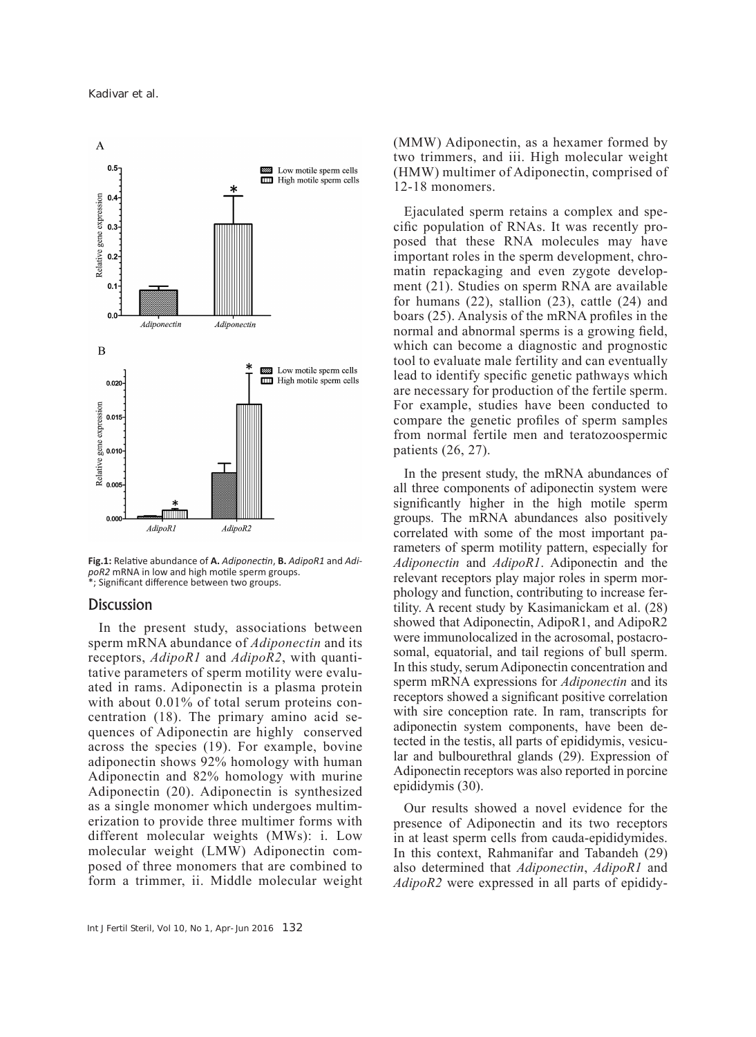

**Fig.1:** Relative abundance of **A.** *Adiponectin*, **B.** *AdipoR1* and *AdipoR2* mRNA in low and high motile sperm groups. \*; Significant difference between two groups.

#### **Discussion**

In the present study, associations between sperm mRNA abundance of *Adiponectin* and its receptors, *AdipoR1* and *AdipoR2*, with quantitative parameters of sperm motility were evaluated in rams. Adiponectin is a plasma protein with about 0.01% of total serum proteins concentration (18). The primary amino acid sequences of Adiponectin are highly conserved across the species (19). For example, bovine adiponectin shows 92% homology with human Adiponectin and 82% homology with murine Adiponectin (20). Adiponectin is synthesized as a single monomer which undergoes multimerization to provide three multimer forms with different molecular weights (MWs): i. Low molecular weight (LMW) Adiponectin composed of three monomers that are combined to form a trimmer, ii. Middle molecular weight (MMW) Adiponectin, as a hexamer formed by two trimmers, and iii. High molecular weight (HMW) multimer of Adiponectin, comprised of 12-18 monomers.

Ejaculated sperm retains a complex and specific population of RNAs. It was recently proposed that these RNA molecules may have important roles in the sperm development, chromatin repackaging and even zygote development (21). Studies on sperm RNA are available for humans (22), stallion (23), cattle (24) and boars (25). Analysis of the mRNA profiles in the normal and abnormal sperms is a growing field, which can become a diagnostic and prognostic tool to evaluate male fertility and can eventually lead to identify specific genetic pathways which are necessary for production of the fertile sperm. For example, studies have been conducted to compare the genetic profiles of sperm samples from normal fertile men and teratozoospermic patients (26, 27).

In the present study, the mRNA abundances of all three components of adiponectin system were significantly higher in the high motile sperm groups. The mRNA abundances also positively correlated with some of the most important parameters of sperm motility pattern, especially for *Adiponectin* and *AdipoR1*. Adiponectin and the relevant receptors play major roles in sperm morphology and function, contributing to increase fertility. A recent study by Kasimanickam et al. (28) showed that Adiponectin, AdipoR1, and AdipoR2 were immunolocalized in the acrosomal, postacrosomal, equatorial, and tail regions of bull sperm. In this study, serum Adiponectin concentration and sperm mRNA expressions for *Adiponectin* and its receptors showed a significant positive correlation with sire conception rate. In ram, transcripts for adiponectin system components, have been detected in the testis, all parts of epididymis, vesicular and bulbourethral glands (29). Expression of Adiponectin receptors was also reported in porcine epididymis (30).

Our results showed a novel evidence for the presence of Adiponectin and its two receptors in at least sperm cells from cauda-epididymides. In this context, Rahmanifar and Tabandeh (29) also determined that *Adiponectin*, *AdipoR1* and *AdipoR2* were expressed in all parts of epididy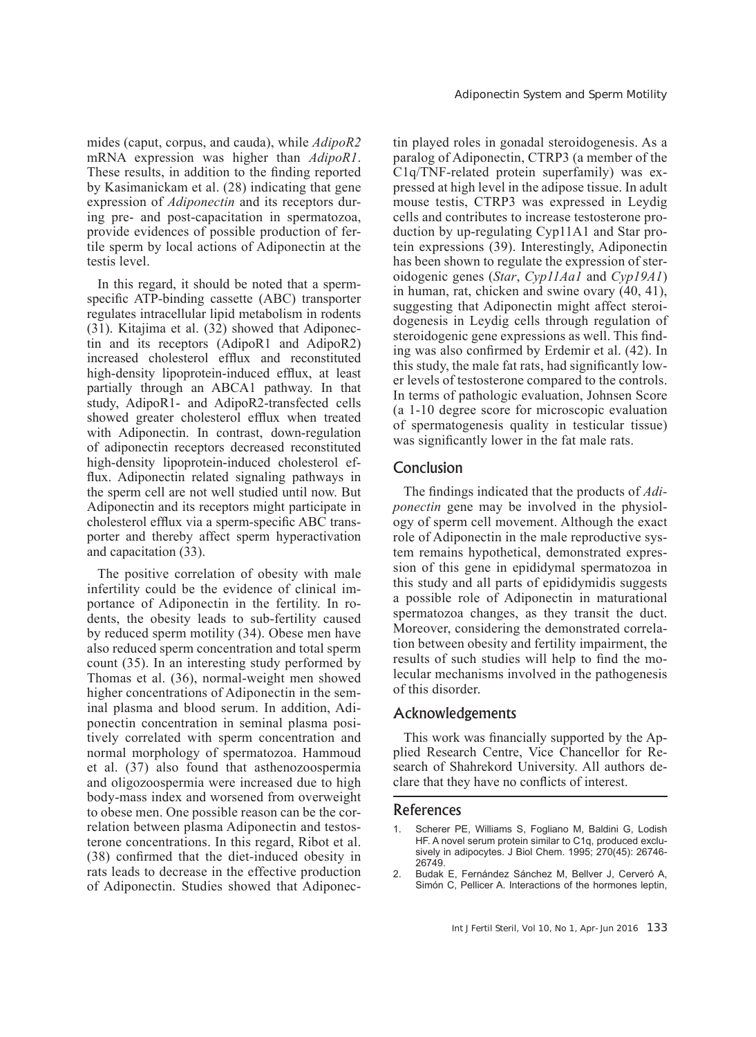mides (caput, corpus, and cauda), while *AdipoR2* mRNA expression was higher than *AdipoR1*. These results, in addition to the finding reported by Kasimanickam et al. (28) indicating that gene expression of *Adiponectin* and its receptors during pre- and post-capacitation in spermatozoa, provide evidences of possible production of fertile sperm by local actions of Adiponectin at the testis level.

In this regard, it should be noted that a spermspecific ATP-binding cassette (ABC) transporter regulates intracellular lipid metabolism in rodents (31). Kitajima et al. (32) showed that Adiponectin and its receptors (AdipoR1 and AdipoR2) increased cholesterol efflux and reconstituted high-density lipoprotein-induced efflux, at least partially through an ABCA1 pathway. In that study, AdipoR1- and AdipoR2-transfected cells showed greater cholesterol efflux when treated with Adiponectin. In contrast, down-regulation of adiponectin receptors decreased reconstituted high-density lipoprotein-induced cholesterol efflux. Adiponectin related signaling pathways in the sperm cell are not well studied until now. But Adiponectin and its receptors might participate in cholesterol efflux via a sperm-specific ABC transporter and thereby affect sperm hyperactivation and capacitation (33).

The positive correlation of obesity with male infertility could be the evidence of clinical importance of Adiponectin in the fertility. In rodents, the obesity leads to sub-fertility caused by reduced sperm motility (34). Obese men have also reduced sperm concentration and total sperm count (35). In an interesting study performed by Thomas et al. (36), normal-weight men showed higher concentrations of Adiponectin in the seminal plasma and blood serum. In addition, Adiponectin concentration in seminal plasma positively correlated with sperm concentration and normal morphology of spermatozoa. Hammoud et al. (37) also found that asthenozoospermia and oligozoospermia were increased due to high body-mass index and worsened from overweight to obese men. One possible reason can be the correlation between plasma Adiponectin and testosterone concentrations. In this regard, Ribot et al. (38) confirmed that the diet-induced obesity in rats leads to decrease in the effective production of Adiponectin. Studies showed that Adiponectin played roles in gonadal steroidogenesis. As a paralog of Adiponectin, CTRP3 (a member of the C1q/TNF-related protein superfamily) was expressed at high level in the adipose tissue. In adult mouse testis, CTRP3 was expressed in Leydig cells and contributes to increase testosterone production by up-regulating Cyp11A1 and Star protein expressions (39). Interestingly, Adiponectin has been shown to regulate the expression of steroidogenic genes (*Star*, *Cyp11Aa1* and *Cyp19A1*) in human, rat, chicken and swine ovary (40, 41), suggesting that Adiponectin might affect steroidogenesis in Leydig cells through regulation of steroidogenic gene expressions as well. This finding was also confirmed by Erdemir et al. (42). In this study, the male fat rats, had significantly lower levels of testosterone compared to the controls. In terms of pathologic evaluation, Johnsen Score (a 1-10 degree score for microscopic evaluation of spermatogenesis quality in testicular tissue) was significantly lower in the fat male rats.

# Conclusion

The findings indicated that the products of *Adiponectin* gene may be involved in the physiology of sperm cell movement. Although the exact role of Adiponectin in the male reproductive system remains hypothetical, demonstrated expression of this gene in epididymal spermatozoa in this study and all parts of epididymidis suggests a possible role of Adiponectin in maturational spermatozoa changes, as they transit the duct. Moreover, considering the demonstrated correlation between obesity and fertility impairment, the results of such studies will help to find the molecular mechanisms involved in the pathogenesis of this disorder.

# Acknowledgements

This work was financially supported by the Applied Research Centre, Vice Chancellor for Research of Shahrekord University. All authors declare that they have no conflicts of interest.

# References

- Scherer PE, Williams S, Fogliano M, Baldini G, Lodish HF. A novel serum protein similar to C1q, produced exclusively in adipocytes. J Biol Chem. 1995; 270(45): 26746- 26749.
- 2. Budak E, Fernández Sánchez M, Bellver J, Cerveró A, Simón C, Pellicer A. Interactions of the hormones leptin,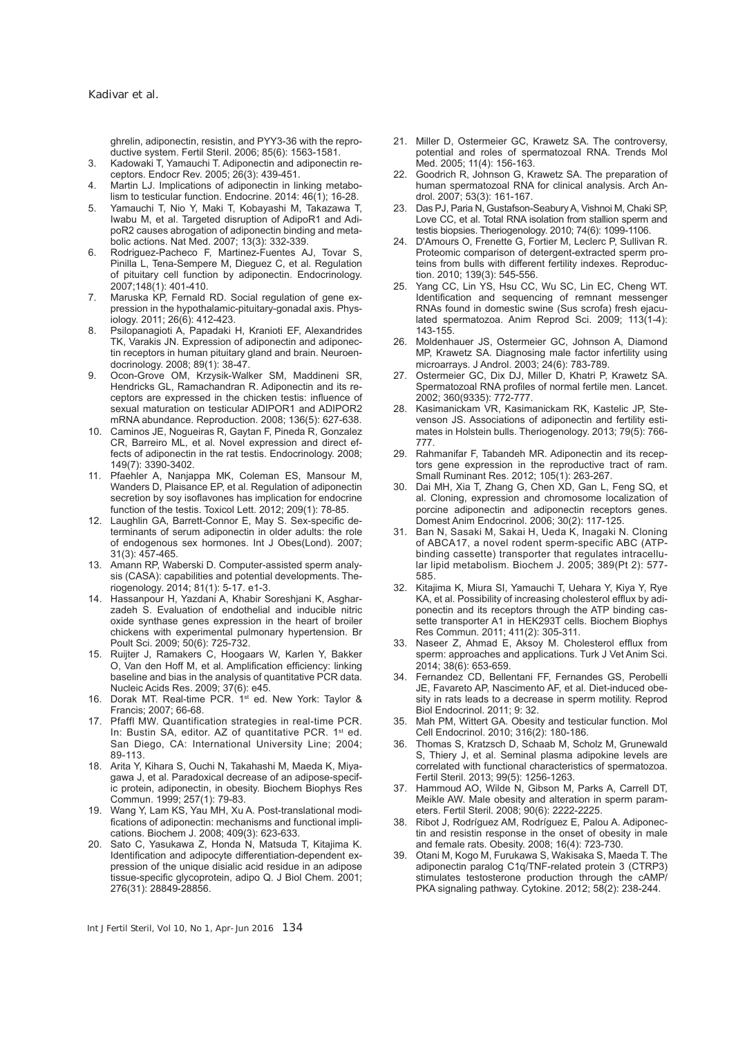ghrelin, adiponectin, resistin, and PYY3-36 with the reproductive system. Fertil Steril. 2006; 85(6): 1563-1581.

- 3. Kadowaki T, Yamauchi T. Adiponectin and adiponectin receptors. Endocr Rev. 2005; 26(3): 439-451.
- 4. Martin LJ. Implications of adiponectin in linking metabolism to testicular function. Endocrine. 2014: 46(1); 16-28.
- 5. Yamauchi T, Nio Y, Maki T, Kobayashi M, Takazawa T, Iwabu M, et al. Targeted disruption of AdipoR1 and AdipoR2 causes abrogation of adiponectin binding and metabolic actions. Nat Med. 2007; 13(3): 332-339.
- 6. Rodriguez-Pacheco F, Martinez-Fuentes AJ, Tovar S, Pinilla L, Tena-Sempere M, Dieguez C, et al. Regulation of pituitary cell function by adiponectin. Endocrinology. 2007;148(1): 401-410.
- 7. Maruska KP, Fernald RD. Social regulation of gene expression in the hypothalamic-pituitary-gonadal axis. Physiology. 2011; 26(6): 412-423.
- 8. Psilopanagioti A, Papadaki H, Kranioti EF, Alexandrides TK, Varakis JN. Expression of adiponectin and adiponectin receptors in human pituitary gland and brain. Neuroendocrinology. 2008; 89(1): 38-47.
- 9. Ocon-Grove OM, Krzysik-Walker SM, Maddineni SR, Hendricks GL, Ramachandran R. Adiponectin and its receptors are expressed in the chicken testis: influence of sexual maturation on testicular ADIPOR1 and ADIPOR2 mRNA abundance. Reproduction. 2008; 136(5): 627-638.
- 10. Caminos JE, Nogueiras R, Gaytan F, Pineda R, Gonzalez CR, Barreiro ML, et al. Novel expression and direct effects of adiponectin in the rat testis. Endocrinology. 2008; 149(7): 3390-3402.
- 11. Pfaehler A, Nanjappa MK, Coleman ES, Mansour M, Wanders D, Plaisance EP, et al. Regulation of adiponectin secretion by soy isoflavones has implication for endocrine function of the testis. Toxicol Lett. 2012; 209(1): 78-85.
- 12. Laughlin GA, Barrett-Connor E, May S. Sex-specific determinants of serum adiponectin in older adults: the role of endogenous sex hormones. Int J Obes(Lond). 2007; 31(3): 457-465.
- 13. Amann RP, Waberski D. Computer-assisted sperm analysis (CASA): capabilities and potential developments. Theriogenology. 2014; 81(1): 5-17. e1-3.
- 14. Hassanpour H, Yazdani A, Khabir Soreshjani K, Asgharzadeh S. Evaluation of endothelial and inducible nitric oxide synthase genes expression in the heart of broiler chickens with experimental pulmonary hypertension. Br Poult Sci. 2009; 50(6): 725-732.
- 15. Ruijter J, Ramakers C, Hoogaars W, Karlen Y, Bakker O, Van den Hoff M, et al. Amplification efficiency: linking baseline and bias in the analysis of quantitative PCR data. Nucleic Acids Res. 2009; 37(6): e45.
- 16. Dorak MT. Real-time PCR. 1st ed. New York: Taylor & Francis; 2007; 66-68.
- 17. Pfaffl MW. Quantification strategies in real-time PCR. In: Bustin SA, editor. AZ of quantitative PCR. 1st ed. San Diego, CA: International University Line; 2004; 89-113.
- 18. Arita Y, Kihara S, Ouchi N, Takahashi M, Maeda K, Miyagawa J, et al. Paradoxical decrease of an adipose-specific protein, adiponectin, in obesity. Biochem Biophys Res Commun. 1999; 257(1): 79-83.
- 19. Wang Y, Lam KS, Yau MH, Xu A. Post-translational modifications of adiponectin: mechanisms and functional implications. Biochem J. 2008; 409(3): 623-633.
- 20. Sato C, Yasukawa Z, Honda N, Matsuda T, Kitajima K. Identification and adipocyte differentiation-dependent expression of the unique disialic acid residue in an adipose tissue-specific glycoprotein, adipo Q. J Biol Chem. 2001; 276(31): 28849-28856.
- 21. Miller D, Ostermeier GC, Krawetz SA. The controversy, potential and roles of spermatozoal RNA. Trends Mol Med. 2005; 11(4): 156-163.
- 22. Goodrich R, Johnson G, Krawetz SA. The preparation of human spermatozoal RNA for clinical analysis. Arch Androl. 2007; 53(3): 161-167.
- 23. Das PJ, Paria N, Gustafson-Seabury A, Vishnoi M, Chaki SP, Love CC, et al. Total RNA isolation from stallion sperm and testis biopsies. Theriogenology. 2010; 74(6): 1099-1106.
- 24. D'Amours O, Frenette G, Fortier M, Leclerc P, Sullivan R. Proteomic comparison of detergent-extracted sperm proteins from bulls with different fertility indexes. Reproduction. 2010; 139(3): 545-556.
- 25. Yang CC, Lin YS, Hsu CC, Wu SC, Lin EC, Cheng WT. Identification and sequencing of remnant messenger RNAs found in domestic swine (Sus scrofa) fresh ejaculated spermatozoa. Anim Reprod Sci. 2009; 113(1-4): 143-155.
- 26. Moldenhauer JS, Ostermeier GC, Johnson A, Diamond MP, Krawetz SA. Diagnosing male factor infertility using microarrays. J Androl. 2003; 24(6): 783-789.
- 27. Ostermeier GC, Dix DJ, Miller D, Khatri P, Krawetz SA. Spermatozoal RNA profiles of normal fertile men. Lancet. 2002; 360(9335): 772-777.
- 28. Kasimanickam VR, Kasimanickam RK, Kastelic JP, Stevenson JS. Associations of adiponectin and fertility estimates in Holstein bulls. Theriogenology. 2013; 79(5): 766- 777.
- 29. Rahmanifar F, Tabandeh MR. Adiponectin and its receptors gene expression in the reproductive tract of ram. Small Ruminant Res. 2012; 105(1): 263-267.
- 30. Dai MH, Xia T, Zhang G, Chen XD, Gan L, Feng SQ, et al. Cloning, expression and chromosome localization of porcine adiponectin and adiponectin receptors genes. Domest Anim Endocrinol. 2006; 30(2): 117-125.
- 31. Ban N, Sasaki M, Sakai H, Ueda K, Inagaki N. Cloning of ABCA17, a novel rodent sperm-specific ABC (ATPbinding cassette) transporter that regulates intracellular lipid metabolism. Biochem J. 2005; 389(Pt 2): 577- 585.
- 32. Kitajima K, Miura SI, Yamauchi T, Uehara Y, Kiya Y, Rye KA, et al. Possibility of increasing cholesterol efflux by adiponectin and its receptors through the ATP binding cassette transporter A1 in HEK293T cells. Biochem Biophys Res Commun. 2011; 411(2): 305-311.
- 33. Naseer Z, Ahmad E, Aksoy M. Cholesterol efflux from sperm: approaches and applications. Turk J Vet Anim Sci. 2014; 38(6): 653-659.
- 34. Fernandez CD, Bellentani FF, Fernandes GS, Perobelli JE, Favareto AP, Nascimento AF, et al. Diet-induced obesity in rats leads to a decrease in sperm motility. Reprod Biol Endocrinol. 2011; 9: 32.
- 35. Mah PM, Wittert GA. Obesity and testicular function. Mol Cell Endocrinol. 2010; 316(2): 180-186.
- 36. Thomas S, Kratzsch D, Schaab M, Scholz M, Grunewald S, Thiery J, et al. Seminal plasma adipokine levels are correlated with functional characteristics of spermatozoa. Fertil Steril. 2013; 99(5): 1256-1263.
- 37. Hammoud AO, Wilde N, Gibson M, Parks A, Carrell DT, Meikle AW. Male obesity and alteration in sperm parameters. Fertil Steril. 2008; 90(6): 2222-2225.
- 38. Ribot J, Rodríguez AM, Rodríguez E, Palou A. Adiponectin and resistin response in the onset of obesity in male and female rats. Obesity. 2008; 16(4): 723-730.
- 39. Otani M, Kogo M, Furukawa S, Wakisaka S, Maeda T. The adiponectin paralog C1q/TNF-related protein 3 (CTRP3) stimulates testosterone production through the cAMP/ PKA signaling pathway. Cytokine. 2012; 58(2): 238-244.